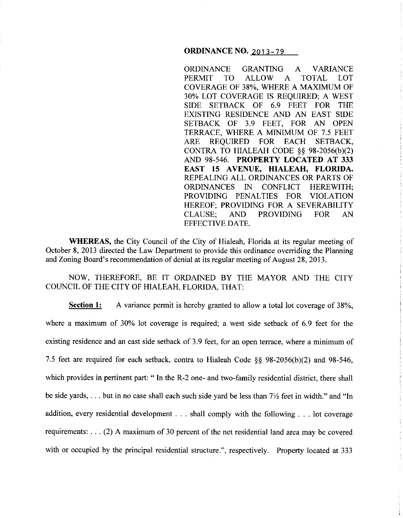## **ORDINANCE NO.** 2013-79

ORDINANCE GRANTING A VARIANCE PERMIT TO ALLOW A TOTAL LOT COVERAGE OF 38%, WHERE A MAXIMUM OF 30% LOT COVERAGE IS REQUIRED; A WEST SIDE SETBACK OF 6.9 FEET FOR THE EXISTING RESIDENCE AND AN EAST SIDE SETBACK OF 3.9 FEET, FOR AN OPEN TERRACE, WHERE A MINIMUM OF 7.5 FEET ARE REQUIRED FOR EACH SETBACK, CONTRA TO HIALEAH CODE §§ 98-2056(b)(2) AND 98-546. **PROPERTY LOCATED AT 333 EAST 15 A VENUE, HIALEAH, FLORIDA.**  REPEALING ALL ORDINANCES OR PARTS OF ORDINANCES IN CONFLICT HEREWITH; PROVIDING PENALTIES FOR VIOLATION HEREOF; PROVIDING FOR A SEVERABILITY CLAUSE; AND PROVIDING FOR AN EFFECTIVE DATE.

**WHEREAS,** the City Council of the City of Hialeah, Florida at its regular meeting of October 8, 2013 directed the Law Department to provide this ordinance overriding the Planning and Zoning Board's recommendation of denial at its regular meeting of August 28,2013.

NOW, THEREFORE, BE IT ORDAINED BY THE MAYOR AND THE CITY COUNCIL OF THE CITY OF HIALEAH, FLORIDA, THAT:

**Section 1:** A variance permit is hereby granted to allow a total lot coverage of 38%, where a maximum of 30% lot coverage is required; a west side setback of 6.9 feet for the existing residence and an east side setback of 3.9 feet, for an open terrace, where a minimum of 7.5 feet are required for each setback, contra to Hialeah Code §§ 98-2056(b)(2) and 98-546, which provides in pertinent part: "In the R-2 one- and two-family residential district, there shall be side yards, ... but in no case shall each such side yard be less than  $7\frac{1}{2}$  feet in width." and "In addition, every residential development ... shall comply with the following ... lot coverage requirements: ... (2) A maximum of 30 percent of the net residential land area may be covered with or occupied by the principal residential structure.", respectively. Property located at 333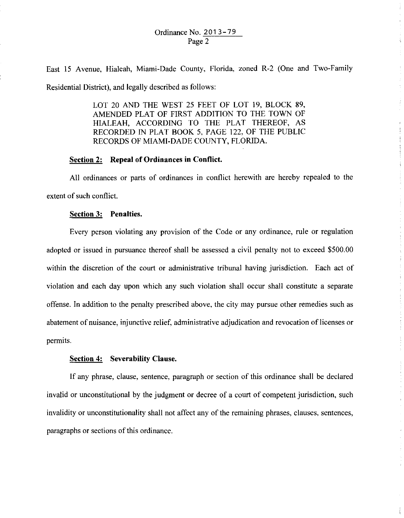East 15 Avenue, Hialeah, Miami-Dade County, Florida, zoned R-2 (One and Two-Family Residential District), and legally described as follows:

> LOT 20 AND THE WEST 25 FEET OF LOT 19, BLOCK 89, AMENDED PLAT OF FIRST ADDITION TO THE TOWN OF HIALEAH, ACCORDING TO THE PLAT THEREOF, AS RECORDED IN PLAT BOOK 5, PAGE 122, OF THE PUBLIC RECORDS OF MIAMI-DADE COUNTY, FLORIDA.

### **Section 2: Repeal of Ordinances in Conflict.**

All ordinances or parts of ordinances in conflict herewith are hereby repealed to the extent of such conflict.

#### **Section 3: Penalties.**

Every person violating any provision of the Code or any ordinance, rule or regulation adopted or issued in pursuance thereof shall be assessed a civil penalty not to exceed \$500.00 within the discretion of the court or administrative tribunal having jurisdiction. Each act of violation and each day upon which any such violation shall occur shall constitute a separate offense. In addition to the penalty prescribed above, the city may pursue other remedies such as abatement of nuisance, injunctive relief, administrative adjudication and revocation of licenses or permits.

### **Section 4: Severability Clause.**

If any phrase, clause, sentence, paragraph or section of this ordinance shall be declared invalid or unconstitutional by the judgment or decree of a court of competent jurisdiction, such invalidity or unconstitutionality shall not affect any of the remaining phrases, clauses, sentences, paragraphs or sections of this ordinance.

 $\overline{\phantom{a}}$